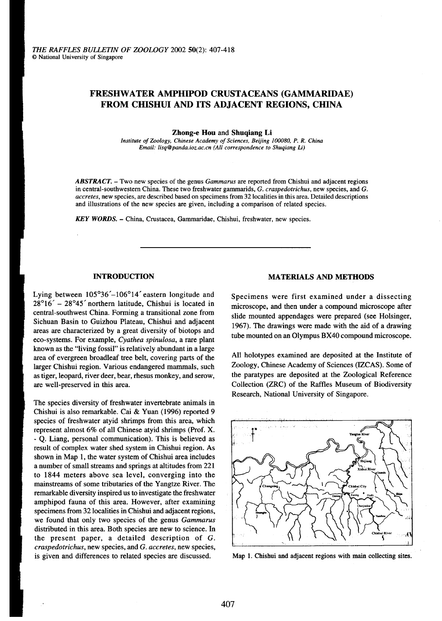# FRESHWATER AMPHIPOD CRUSTACEANS (GAMMARIDAE) FROM CHISHUI AND ITS ADJACENT REGIONS, CHINA

**Zhong-e Hou and Shuqiang Li**<br>Institute of Zoology, Chinese Academy of Sciences, Beijing 100080, P. R. China Institute of Zoology, Chinese Academy of Sciences, Beijing 100009, P. Chinese Review of Sciences, Beijing 1000  $\mathcal{L}$  . In the set of  $\mathcal{L}$  and  $\mathcal{L}$  and  $\mathcal{L}$  and  $\mathcal{L}$  and  $\mathcal{L}$  and  $\mathcal{L}$  and  $\mathcal{L}$  and  $\mathcal{L}$ 

**ABSTRACT.** – Two new species of the genus *Gammarus* are reported from Chishui and adjacent regions in central-southwestern China. These two freshwater gammarids, *G. craspedotrichus*, new species, and *G*. accretes, new species, are described based on specimens from 32 localities in this area. Detailed descriptions accretes, new species, are described based on specific area.  $\alpha$  is an integrity of  $\alpha$  and illustrations of the new species are given including a comparison of related species. and illustrations of the new species are given, including a comparison of related species.

**KEY WORDS. – China, Crustacea, Gammaridae, Chishui, freshwater, new species.** 

Lying between  $105^{\circ}36' - 106^{\circ}14'$  eastern longitude and Specimens were first examined under a dissecting  $28^{\circ}16' - 28^{\circ}45'$  northern latitude, Chishui is located in microscope and then under a compound microscope 28°16' - 28°45' northern latitude, Chishui is located in microscope, and then under a compound microscope after<br>central-southwest China. Forming a transitional zone from alide mounted agreed are agreed (as Halsingar central-southwest China. Forming a transitional zone from slide mounted appendages were prepared (see Holsinger,<br>Sichuan Basin to Guizhou Plateau, Chishui and adjacent 1967). The dermines were med with the side of a dermin Sichuan Basin to Guizhou Plateau, Chishui and adjacent 1967). The drawings were made with the aid of a drawing areas are characterized by a great diversity of biotops and ...  $\sim$  ... areas are characterized by a great diversity of biotops and b tube mounted on an Olympus BX40 compound microscope.<br>tube mounted on an Olympus BX40 compound microscope. known as the "living fossil" is relatively abundant in a large  $k_{\text{max}}$  as the  $k_{\text{max}}$  is relatively as the  $k_{\text{max}}$  abundant in a large  $k_{\text{max}}$ . All holotypes examarea of evergreen broadleaf tree belt, covering parts of the All holotypes examined are deposited at the Institute larger Chishui region. Various endangered mammals, such Zoology, Chinese Academy of Sciences (IZCAS). Some of as tiger. leopard, river deer, bear, rhesus monkey, and serow. the paratypes are deposited at the Zoological Ref as tiger, leopard, river deer, bear, rhesus monkey, and serow, the paratypes are deposited at the Zoological Reference are well-preserved in this area. Collection (ZRC) of the Raffles Museum of Biodiversity

The species diversity of freshwater invertebrate animals in Chishui is also remarkable. Cai & Yuan  $(1996)$  reported 9 species of freshwater atyid shrimps from this area, which represent almost 6% of all Chinese atyid shrimps (Prof. X. - Q. Liang, personal communication). This is believed as result of complex water shed system in Chishui region. As shown in Map 1, the water system of Chishui area includes a number of small streams and springs at altitudes from 221 to 1844 meters above sea level, converging into the mainstreams of some tributaries of the Yangtze River. The remarkable diversity inspired us to investigate the freshwater amphipod fauna of this area. However, after examining specimens from 32 localities in Chishui and adjacent regions, we found that only two species of the genus Gammarus distributed in this area. Both species are new to science. In the present paper, a detailed description of  $G$ . craspedotrichus, new species, and G. accretes, new species, craspedotrichus, new species, and G. accretes, new species, is given and differences to related species are discussed. Map 1. Chishui and adjacent regions with main collecting sites.

## INTRODUCTION MATERIALS AND METHODS

are well-preserved in this area. Collection (ZRC) of the Raffles Museum of Biodiversity Research, National University of Singapore.

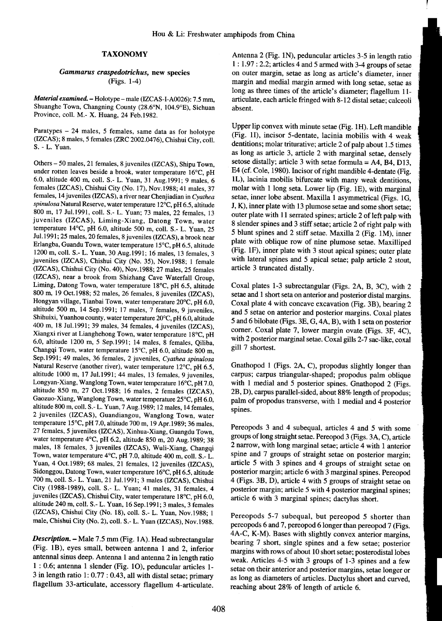Shuanghe Town, Changning County (28.6°N, 104.9°E), Sichuan absent. Province, colI. M.- X. Huang, 24 Feb.1982.

(IZCAS); 8 males, 5 females (ZRC 2002.0476), Chishui City, coll.  $S. - L. Y$ uan.<br>S. - L. Yuan.

under rotten leaves beside a brook, water temperature  $16^{\circ}$ C, pH E4 (cf. Cole, 1980). Incisor of right mandible 4-dentate (Fig. 6.0, altitude 400 m, coll. S.- L. Yuan, 31 Aug.1991; 9 males, 6 lL), lacinia mobilis bifurcate with many weak dentitions, females (IZCAS), Chishui City (No. 17), Nov.1988; 41 males, 37 molar with 1 long seta. Lower lip (Fig. IE), with marginal females, 14 juveniles (IZCAS), a river near Chenjiadian in Cyathea setae, inner lobe absent. Maxilla 1 asymmetrical (Figs. 1G, spinulosa Natural Reserve, water temperature 12°C, pH 6.5, altitude J, K), inner plate with 13 plumose setae and some short setae; 800 m, 17 Jul.1991, coll. S.- L. Yuan; 73 males, 22 females, 13 outer plate with 11 serrated spines; article 2 of left palp with juveniles (IZCAS), Liming-Xiang, Datong Town, water 8 slender spines and 3 stiff setae; article 2 of right palp with temperature 14°C, pH 6.0, altitude 500 m, coll. S.- L. Yuan, 25 Jul.1991; 25 males, 20 females, 8 juveniles (IZCAS), a brook Erlangba, Guandu Town, water temperature 15°C, pH 6.5, altitude 1200 m, coll. S.- L. Yuan, 30 Aug.1991; 16 males, 13 females, 3<br>iuveniles (IZCAS). Chishui City (No. 35). Nov.1988: 1 female with lateral spines and 5 apical setae; palp article 2 stout, juveniles (IZCAS), Chishui City (No. 35), Nov.1988; 1 female  $(IZCAS)$ , Chishui City (No. 40), Nov. 1988; 27 males, 25 females article 3 truncated distally. (IZCAS), near a brook from Shizhang Cave Waterfall Group, Liming, Datong Town, water temperature 18°C, pH 6.5, altitude Coxal plates 1-3 subrectangular (Figs. 2A, B, 3C), with 2 800 m, 19 Oct.1988; 52 males, 26 females, 8 juveniles (IZCAS), setae and 1 short seta on anterior and posterior distal margins. Hongyan village, Tianbai Town, water temperature 20°C, pH 6.0, Coxal plate 4 with concave excavation (Fig. 3B), bearing 2 altitude 500 m, 14 Sep.1991; 17 males, 7 females, 9 juveniles, and 5 setae on anterior and posterior margins. Coxal plates Shihuixi, Yuanhou county, water temperature 20°C, pH 6.0, altitude 5 and 6 bilobate (Figs. 3E, G, 4A, B), with 1 seta on posterior 400 m, 18 Jul.1991; 39 males, 34 females, 4 juveniles (IZCAS), corner. Coxal plate 7, lower margin ovate (Figs. 3F, 4C), corner. Coxal plate 7, lower margin ovate (Figs. 3F, 4C), Xiangxi river at Lianghehong Town, water temperature 18°C, pH 6.0, altitude 1200 m, 5 Sep. 1991; 14 males, 8 females, Qiliba,  $\frac{\text{with } 2 \text{ posterior}}{\text{gill } 7 \text{ shortest.}}$ Changqi Town, water temperature 15 $^{\circ}$ C, pH 6.0, altitude 800 m, Sep.1991; 49 males, 36 females, 2 juveniles, Cyathea spinulosa Natural Reserve (another river), water temperature 12°C, pH 6.5, Gnathopod 1 (Figs. 2A, C), propodus slightly longer than altitude 1000 m, 17 Jul.199l; 44 males, 13 females, 9 juveniles, carpus; carpus triangular-shaped; propodus palm oblique Longyan-Xiang, Wanglong Town, water temperature 16°C, pH 7.0, with 1 medial and 5 posterior spines. Gnathopod 2 (Figs. altitude 850 m, 27 Oct.1988; 16 males, 2 females (IZCAS), 2B, D), carpus parallel-sided, about 88% length of propodus; Gaozuo-Xiang, Wanglong Town, water temperature 25°C, pH 6.0, palm of propodus transverse, with 1 medial and 4 posterior altitude 800 m, coll. S.-L. Yuan, 7 Aug. 1989; 12 males, 14 females,  $\frac{1}{\text{spines}}$ . 2 juveniles (IZCAS), Guandiangou, Wanglong Town, water temperature 15°C, pH 7.0, altitude 700 m, 19 Apr. 1989; 36 males, Pereopods 3 and 4 subequal, articles 4 and 5 with some  $27$  females 5 invaniles (17CAS) Vinhus Views Cunnedy Town 27 females, 5 juveniles (IZCAS), Xinhua-Xiang, Guangdu Town,<br>water temperature 4°C, pH 6.2, altitude 850 m, 20 Aug 1080, 28<br>groups of long straight setae. Pereopod 3 (Figs. 3A, C), article water temperature 4°C, pH 6.2, altitude 850 m, 20 Aug.1989; 38<br>males, 18 females, 3 juveniles (IZCAS), Wuli-Xiang, Changqi<br>Town. water temperature 4°C. pH 7.0. altitude 400 m. coll. S.- L. spine and 7 groups of straight se Town, water temperature  $4^{\circ}$ C, pH 7.0, altitude 400 m, coll. S.-L. Yuan, 4 Oct.1989; 68 males, 21 females, 12 juveniles (IZCAS), article 5 with 3 spines and 4 groups of straight setae on Sidonggou, Datong Town, water temperature 16°C, pH 6.5, altitude posterior margin; article 6 with 3 marginal spines. Pereopod 700 m, coll. S.- L. Yuan, 21 Jul.1991; 3 males (IZCAS), Chishui 4 (Figs. 3B, D), article 4 with 5 groups of straight setae on City (1988-1989), coIl. S.- L. Yuan; 41 males, 31 females, 4 posterior margin; article 5 with 4 posterior marginal spines; juveniles (IZCAS), Chishui City, water temperature 18°C, pH 6.0, article 6 with 3 marginal spines; dactylus short. altitude 240 m, coIl. S.- L. Yuan, 16 Sep.199l; 3 males, 3 females (IZCAS), Chishui City (No. 18), coIl. S.- L. Yuan, Nov.1988; 1 Pereopods 5-7 subequal, but pereopod 5 shorter than

(Fig. 1B), eyes small, between antenna 1 and 2, inferior margins with rows of about 10 short setae; posterodistal lobes antennal sinus deep. Antenna 1 and antenna 2 in length ratio weak. Articles 4-5 with 3 groups of 1-3 spines and a few 1 : 0.6; antenna 1 slender (Fig. 10), peduncular articles 1- setae on their anterior and posterior margins, setae longer or 3 in length ratio 1: 0.77 : 0.43, all with distal setae; primary as long as diameters of articles. Dactylus short and curved, flagellum 33-articulate, accessory flagellum 4-articulate. reaching about 28% of length of article 6.

TAXONOMY Antenna 2 (Fig. IN), peduncular articles 3-5 in length ratio 1 : 1.97 : 2.2; articles 4 and 5 armed with 3-4 groups of setae Gammarus craspedotrichus, new species on outer margin, setae as long as article's diameter, inner (Figs. 1-4) margin and medial margin armed with long setae, setae as long as three times of the article's diameter; flagellum 11- Material examined. - Holotype - male (IZCAS-I-A0026): 7.5 mm, articulate, each article fringed with 8-12 distal setae; calceoli

Upper lip convex with minute setae (Fig. lH). Left mandible Paratypes - 24 males, 5 females, same data as for holotype (Fig. 11), incisor 5-dentate, lacinia mobilis with 4 weak as long as article 3, article 2 with marginal setae, densely Others - 50 males, 21 females, 8 juveniles (IZCAS), Shipu Town, setose distally; article 3 with setae formula = A4, B4, D13, 5 blunt spines and 2 stiff setae. Maxilla 2 (Fig. 1M), inner plate with oblique row of nine plumose setae. Maxilliped

with 2 posterior marginal setae. Coxal gills 2-7 sac-like, coxal

male, Chishui City (No. 2), coll. S.- L. Yuan (IZCAS), Nov. 1988. pereopods 6 and 7, pereopod 6 longer than pereopod 7 (Figs. 4A-C, K-M). Bases with slightly convex anterior margins, Description. - Male 7.5 mm (Fig. 1A). Head subrectangular bearing 7 short, single spines and a few setae; posterior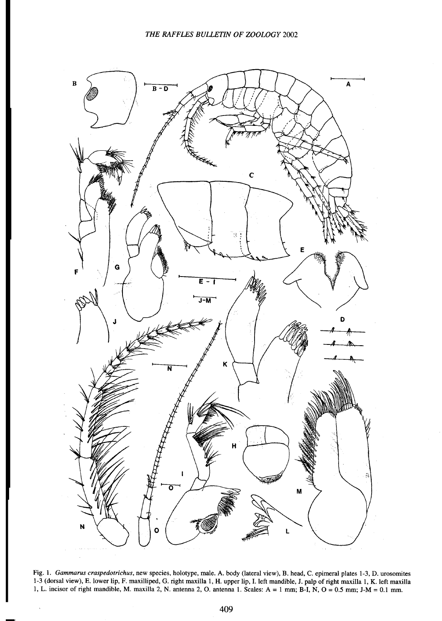

Fig. 1. Gammarus craspedotrichus, new species, holotype, male. A. body (lateral view), B. head, C. epimeral plates 1-3, D. urosomites 1-3 (dorsal view), E. lower lip, F. maxilliped, G. right maxilla 1, H. upper lip, I. left mandible, J. palp of right maxilla 1, K. left maxilla 1, L. incisor of right mandible, M. maxilla 2, N. antenna 2, O. antenna 1. Scales: A = 1 mm; B-I, N, O = 0.5 mm; J-M = 0.1 mm.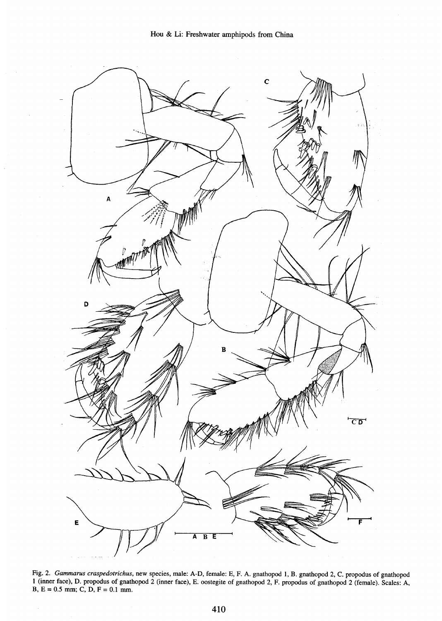

Fig. 2. Gammarus craspedotrichus, new species, male: A-D, female: E, F. A. gnathopod 1, B. gnathopod 2, C. propodus of gnathopod I (inner face), D. propodus of gnathopod 2 (inner face), E. oostegite of gnathopod 2, F. propodus of gnathopod 2 (female). Scales: A, B,  $E = 0.5$  mm; C, D,  $F = 0.1$  mm.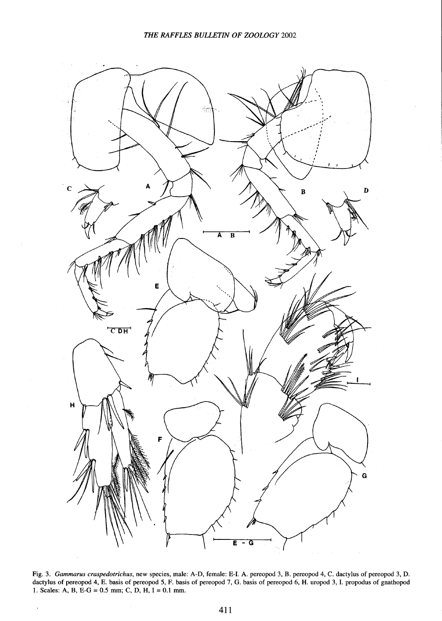

Fig. 3. Gammarus craspedotrichus, new species, male: A-D, female: E-I. A. pereopod 3, B. pereopod 4, C. dactylus of pereopod 3, I dactylus of pereopod 4, E. basis of pereopod 5, F. basis of pereopod 7, G. basis of pereopod 6, H. uropod 3, I. propodus of gnathopod 1. Scales: A, B, E-G =  $0.5$  mm; C, D, H, I =  $0.1$  mm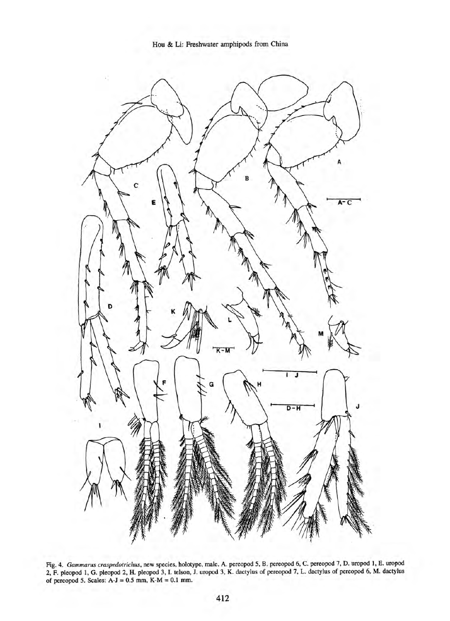



Fig.4. Gammarus craspedotrichus, new species, holotype, male. A. pereopod 5, B. pereopod 6, C. pereopod 7, D. uropod 1, E. uropod 2, F. pleopod 1, G. pleopod 2, H. pleopod 3, I. telson, J. uropod 3, K. dactylus of pereopod 7, L. dactylus of pereopod 6, M. dactylus of pereopod 5. Scales: A-J = 0.5 rom, K-M = 0.1 rom.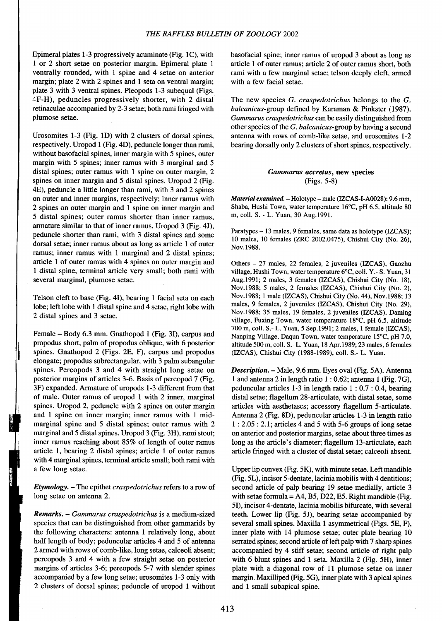1 or 2 short setae on posterior margin. Epimeral plate 1 article 1 of outer ramus; article 2 of outer ramus short, both ventrally rounded, with 1 spine and 4 setae on anterior rami with a few marginal setae; telson deeply cleft, armed margin; plate  $2$  with  $2$  spines and  $1$  seta on ventral margin; with a few facial setae. plate 3 with 3 ventral spines. Pleopods 1-3 subequal (Figs. 4F-H), peduncles progressively shorter, with 2 distal The new species G. craspedotrichus belongs to the G. retinaculae accompanied by 2-3 setae; both rami fringed with balcanicus-group defined by Karaman & Pinkster (1987). plumose setae. Gammarus craspedotrichus can be easily distinguished from  $Gammaus$  can be easily distinguished from

respectively. Uropod 1 (Fig. 4D), peduncle longer than rami, bearing dorsally only 2 clusters of short spines, respectively. without basofacial spines, inner margin with 5 spines, outer margin with 5 spines; inner ramus with 3 marginal and 5 distal spines; outer ramus with 1 spine on outer margin, 2 Gammarus accretus, new species spines on inner margin and 5 distal spines. Uropod 2 (Fig.  $\qquad \qquad$  (Figs. 5-8) 4E), peduncle a little longer than rami, with 3 and 2 spines on outer and inner margins, respectively; inner ramus with Material examined. -Holotype - male (IZCAS-I-A0028): 9.6 mm, 2 spines on outer margin and 1 spine on inner margin and Shaba, Hushi Town, water temperature 16°C, pH 6.5, altitude 80 5 distal spines; outer ramus shorter than inner ramus, m, colI. S. -L. Yuan, 30 Aug.1991. armature similar to that of inner ramus. Uropod 3 (Fig. 4J), peduncle shorter than rami, with 3 distal spines and some raratypes – 15 males, 9 females, same data as not types (IZCAS);<br>10 males, 10 females (ZRC 2002.0475), Chishui City (No. 26), dorsal setae; inner ramus about as long as article 1 of outer  $N_{\text{OV}}$ .1988. ramus; inner ramus with 1 marginal and 2 distal spines; article 1 of outer ramus with 4 spines on outer margin and Others -27 males, 22 females, 2 juveniles (IZCAS), Gaozhu 1 distal spine, terminal article very small; both rami with village, Hushi Town, water temperature 6°C, colI. Y.- S. Yuan, 31 several marginal, plumose setae. Aug.1991; 2 males, 3 females (IZCAS), Chishui City (No. 18),

lobe; left lobe with 1 distal spine and 4 setae, right lobe with males, 9 females, 2 juveniles (IZCAS), Chishui City (No. 29), 2 distal spines and 3 setae.<br>2 distal spines and 3 setae.<br>2 in the setae is spines in the spines and 3 setae.

propodus short, palm of propodus oblique, with 6 posterior altitude 500 m, coll. S.- L. Yuan, 18 Apr. 1989; 23 males, 6 females spines. Gnathopod 2 (Figs. 2E, F), carpus and propodus (IZCAS), Chishui City (1988-1989), coll. S.- L. Yuan. elongate; propodus subrectangular, with 3 palm subangular spines. Pereopods 3 and 4 with straight long setae on Description. - Male, 9.6 mm. Eyes oval (Fig. 5A). Antenna posterior margins of articles 3-6. Basis of pereopod 7 (Fig.  $\qquad$  1 and antenna 2 in length ratio 1 : 0.62; antenna 1 (Fig. 7G), 3F) expanded. Armature of uropods 1-3 different from that peduncular articles 1-3 in length ratio 1 : 0.7 : 0.4, bearing of male. Outer ramus of uropod 1 with 2 inner, marginal distal setae; flagellum 28-articulate, with distal setae, some spines. Uropod 2, peduncle with 2 spines on outer margin articles with aesthetascs; accessory flagellum 5-articulate. and 1 spine on inner margin; inner ramus with 1 mid- Antenna 2 (Fig. 8D), peduncular articles 1-3 in length ratio marginal spine and 5 distal spines; outer ramus with  $2 \t1 : 2.05 : 2.1$ ; articles 4 and 5 with 5-6 groups of long setae marginal and 5 distal spines. Uropod 3 (Fig. 3H), rami stout; on anterior and posterior margins, setae about three times as inner ramus reaching about 85% of length of outer ramus long as the article's diameter; flagellum 13-articulate, each article 1, bearing 2 distal spines; article 1 of outer ramus article fringed with a cluster of distal setae; calceoli absent. with 4 marginal spines, terminal article small; both rami with

Etymology. - The epithet craspedotrichus refers to a row of second article of palp bearing 19 setae medially, article 3

species that can be distinguished from other gammarids by several small spines. Maxilla 1 asymmetrical (Figs. 5E, F), the following characters: antenna 1 relatively long, about inner plate with 14 plumose setae; outer plate bearing 10 half length of body; peduncular articles 4 and 5 of antenna serrated spines; second article of left palp with 7 sharp spines 2 armed with rows of comb-like, long setae, calceoli absent; accompanied by 4 stiff setae; second article of right palp pereopods 3 and 4 with a few straight setae on posterior with 6 blunt spines and 1 seta. Maxilla 2 (Fig. 5H), inner margins of articles 3-6; pereopods 5-7 with slender spines plate with a diagonal row of 11 plumose setae on inner accompanied by a few long setae; urosomites 1-3 only with margin. Maxilliped (Fig. 5G), inner plate with 3 apical spines 2 clusters of dorsal spines; peduncle of uropod 1 without and 1 small subapical spine.

Epimeral plates 1-3 progressively acuminate (Fig. lC), with basofacial spine; inner ramus of uropod 3 about as long as

other species of the  $G.$  balcanicus-group by having a second Urosomites 1-3 (Fig. 1D) with 2 clusters of dorsal spines, antenna with rows of comb-like setae, and urosomites  $1-2$ 

Paratypes - 13 males, 9 females, same data as holotype (IZCAS);

Nov.1988; 5 males, 2 females (IZCAS), Chishui City (No.2), Telson cleft to base (Fig. 41), bearing 1 facial seta on each Nov.1988; I male (IZCAS), Chishui City (No. 44), Nov. 1988; 13 village, Fuxing Town, water temperature  $18^{\circ}$ C, pH 6.5, altitude 700 m, coll. S.- L. Yuan, 5 Sep.1991; 2 males, 1 female (IZCAS), Female – Body 6.3 mm. Gnathopod 1 (Fig. 3I), carpus and Nanping Village, Daqun Town, water temperature 15°C, pH 7.0,

a few long setae. Upper lip convex (Fig. 5K), with minute setae. Left mandible (Fig. 5L), incisor 5-dentate, lacinia mobilis with 4 dentitions; long setae on antenna 2. with setae formula = A4, B5, D22, E5. Right mandible (Fig. 51), incisor 4-dentate, lacinia mobilis bifurcate, with several Remarks. - Gammarus craspedotrichus is a medium-sized teeth. Lower lip (Fig. 5J), bearing setae accompanied by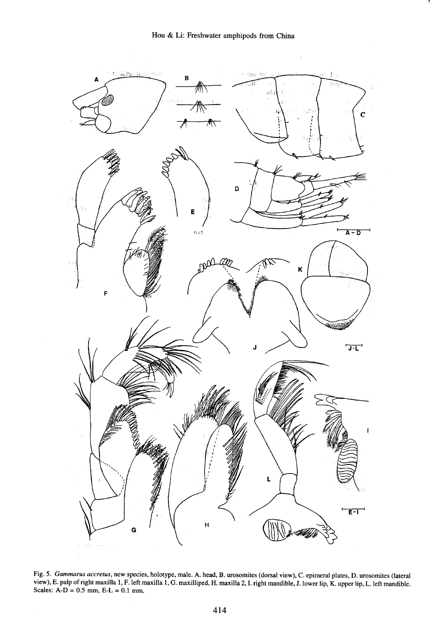

Fig. 5. Gammarus accretus, new species, holotype, male. A. head, B. urosomites (dorsal view), C. epimeral plates, D. urosomites (lateral view), E. palp of right maxilla 1, F.left maxilla 1, G. maxilliped, H. maxilla 2, I. right mandible, I. lower lip, K. upper lip, L.left mandible. Scales:  $A-D = 0.5$  mm,  $E-L = 0.1$  mm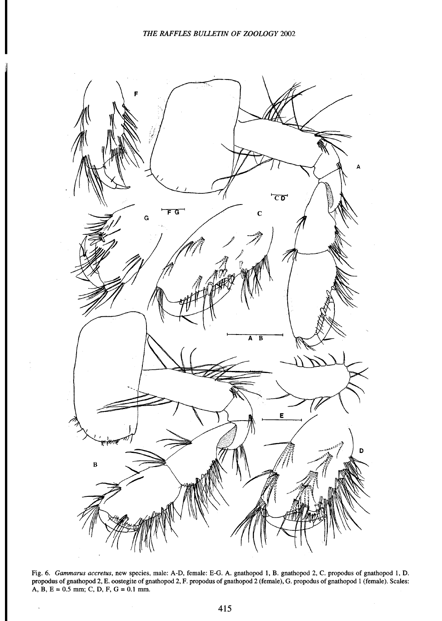

Fig. 6. Gammarus accretus, new species, male: A-D, female: E-G. A. gnathopod 1, B. gnathopod 2, C. propodus of gnathopod 1, D. propodus of gnathopod 2, E. oostegite of gnathopod 2, F. propodus of gnathopod 2 (female), G. propodus of gnathopod 1 (female). Scales: A, B,  $E = 0.5$  mm; C, D, F,  $G = 0.1$  mm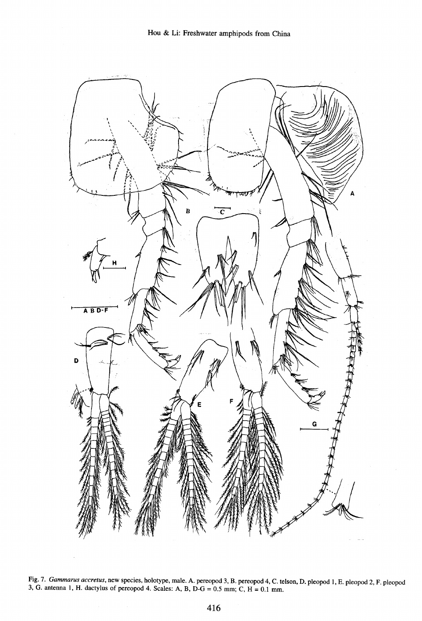

Fig. 7. Gammarus accretus, new species, holotype, male. A. pereopod 3, B. pereopod 4, C. telson, D. pleopod 1, E. pleopod 2, F. pleopod 3, G. antenna 1, H. dactylus of pereopod 4. Scales: A, B,  $D-G = 0.5$  mm; C,  $H = 0.1$  mm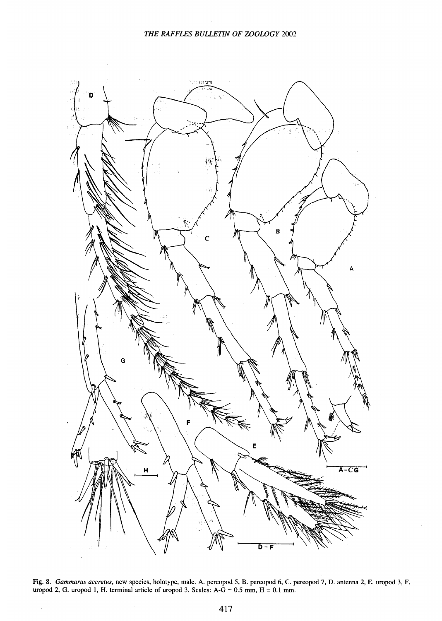

Fig. 8. Gammarus accretus, new species, holotype, male. A. pereopod 5, B. pereopod 6, C. pereopod 7, D. antenna 2, E. uropod 3, uropod 2, G. uropod 1, H. terminal article of uropod 3. Scales:  $A-G = 0.5$  mm,  $H = 0.1$  m